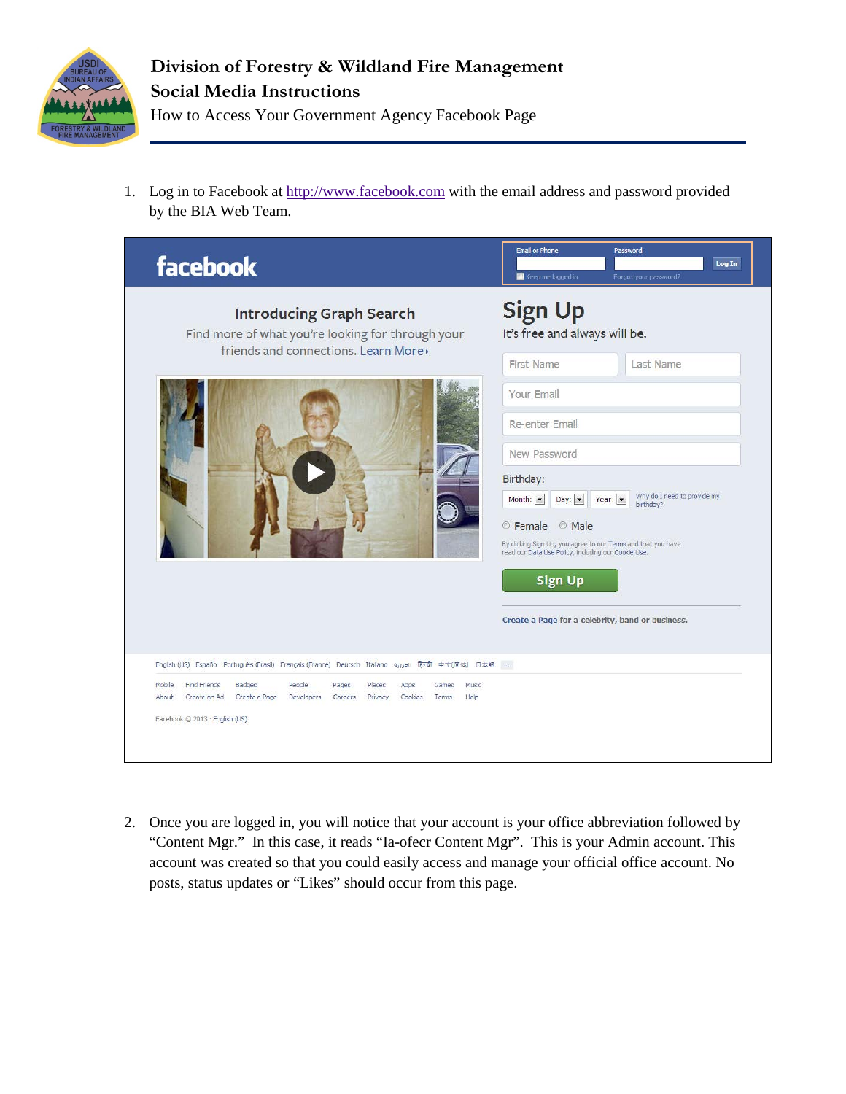

1. Log in to Facebook at [http://www.facebook.com](http://www.facebook.com/) with the email address and password provided by the BIA Web Team.



2. Once you are logged in, you will notice that your account is your office abbreviation followed by "Content Mgr." In this case, it reads "Ia-ofecr Content Mgr". This is your Admin account. This account was created so that you could easily access and manage your official office account. No posts, status updates or "Likes" should occur from this page.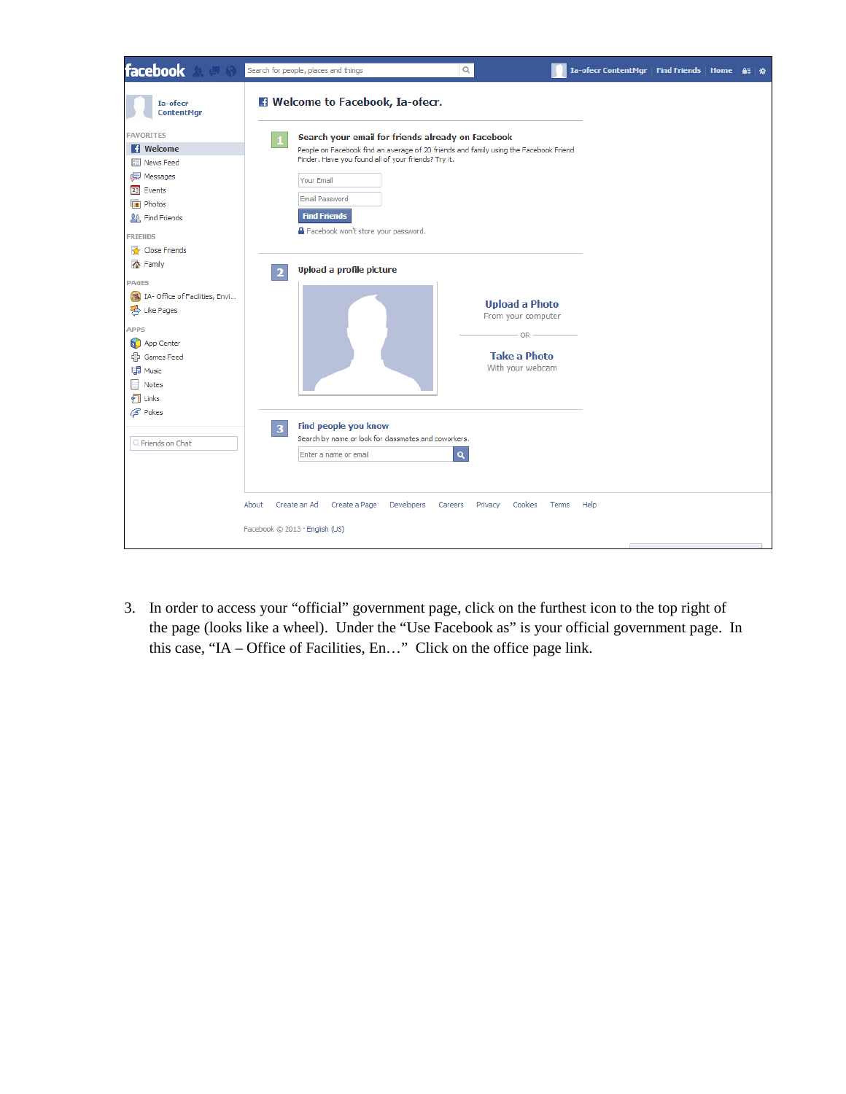

3. In order to access your "official" government page, click on the furthest icon to the top right of the page (looks like a wheel). Under the "Use Facebook as" is your official government page. In this case, "IA – Office of Facilities, En…" Click on the office page link.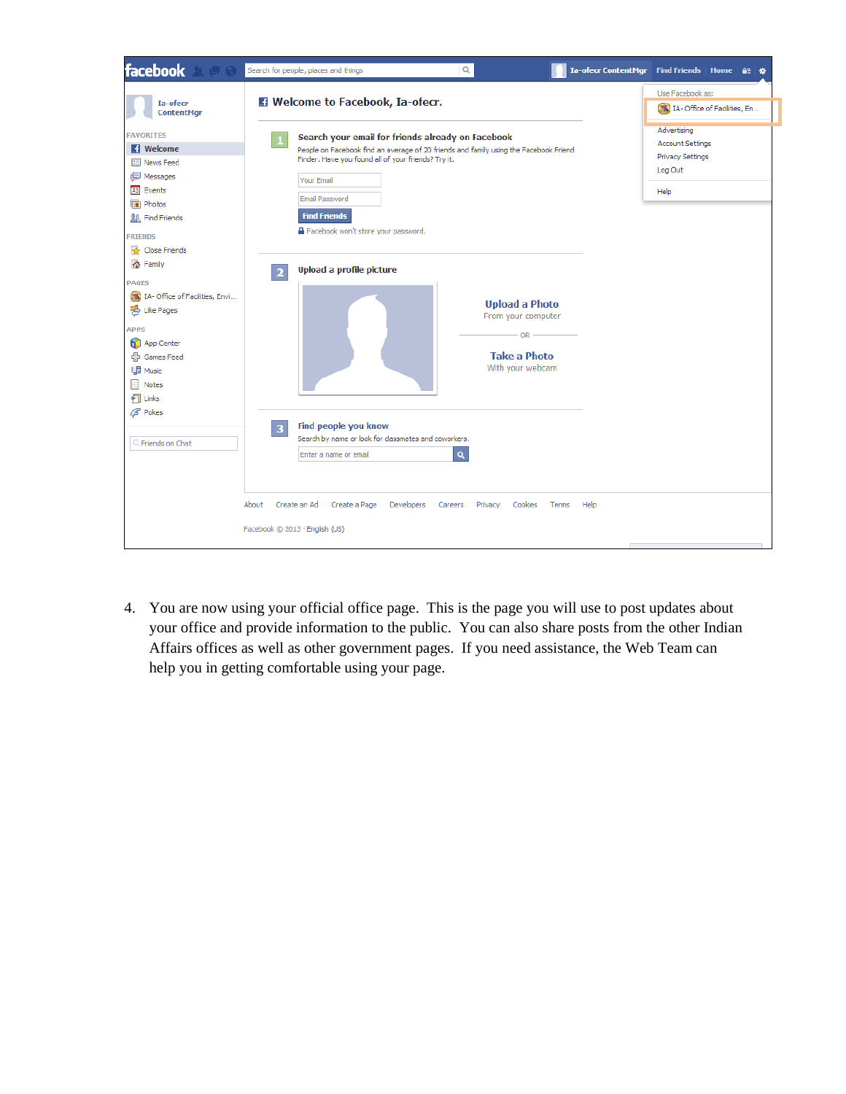

4. You are now using your official office page. This is the page you will use to post updates about your office and provide information to the public. You can also share posts from the other Indian Affairs offices as well as other government pages. If you need assistance, the Web Team can help you in getting comfortable using your page.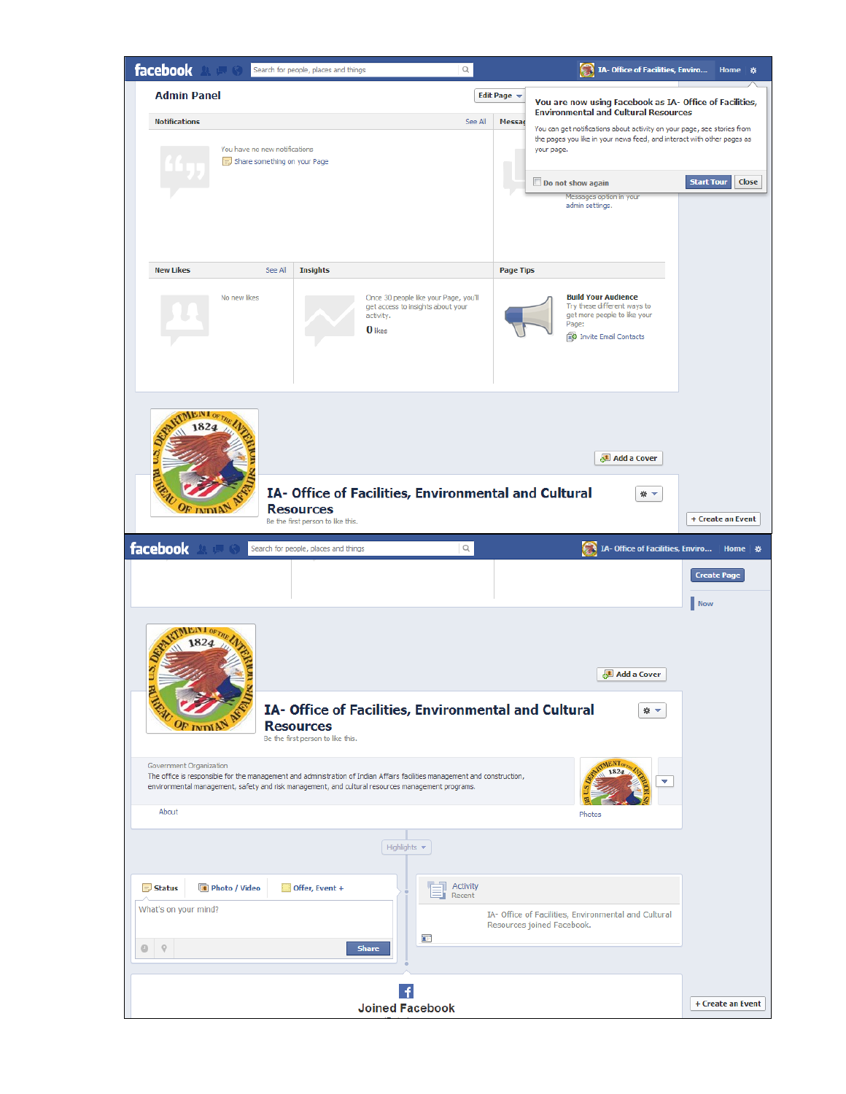